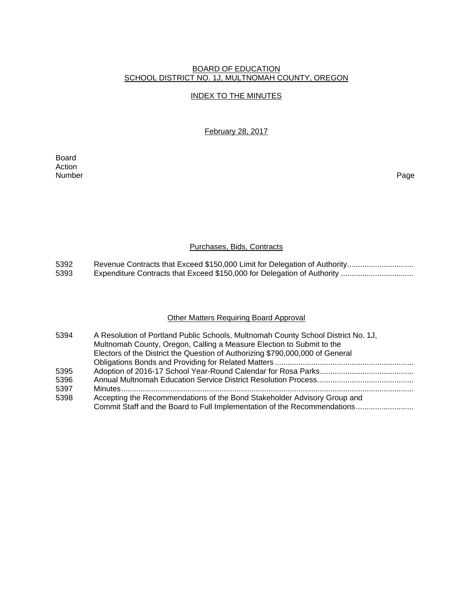# BOARD OF EDUCATION SCHOOL DISTRICT NO. 1J, MULTNOMAH COUNTY, OREGON

## INDEX TO THE MINUTES

February 28, 2017

Board Action<br>Number Number Page

# Purchases, Bids, Contracts

5392 Revenue Contracts that Exceed \$150,000 Limit for Delegation of Authority ...............................<br>5393 Expenditure Contracts that Exceed \$150,000 for Delegation of Authority ................................. 5393 Expenditure Contracts that Exceed \$150,000 for Delegation of Authority ..................................

## Other Matters Requiring Board Approval

| 5394 | A Resolution of Portland Public Schools, Multnomah County School District No. 1J, |
|------|-----------------------------------------------------------------------------------|
|      | Multnomah County, Oregon, Calling a Measure Election to Submit to the             |
|      | Electors of the District the Question of Authorizing \$790,000,000 of General     |
|      |                                                                                   |
| 5395 |                                                                                   |
| 5396 |                                                                                   |
| 5397 |                                                                                   |
| 5398 | Accepting the Recommendations of the Bond Stakeholder Advisory Group and          |
|      | Commit Staff and the Board to Full Implementation of the Recommendations          |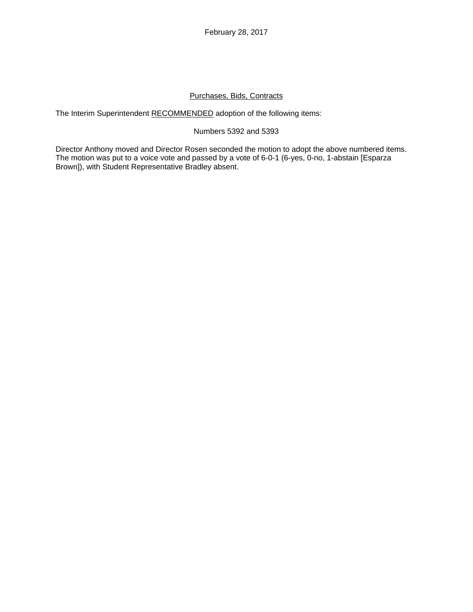February 28, 2017

# Purchases, Bids, Contracts

The Interim Superintendent RECOMMENDED adoption of the following items:

### Numbers 5392 and 5393

Director Anthony moved and Director Rosen seconded the motion to adopt the above numbered items. The motion was put to a voice vote and passed by a vote of 6-0-1 (6-yes, 0-no, 1-abstain [Esparza Brown]), with Student Representative Bradley absent.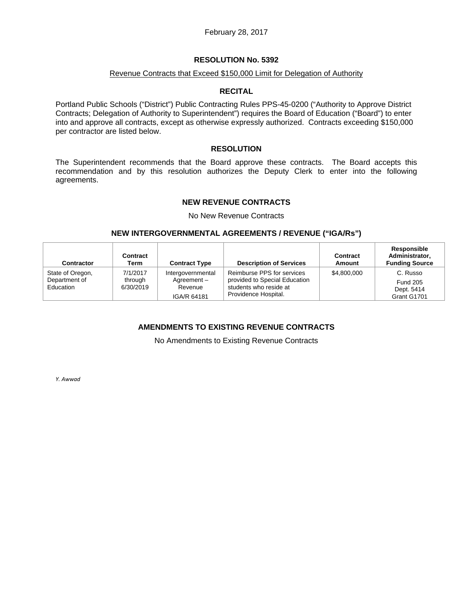## Revenue Contracts that Exceed \$150,000 Limit for Delegation of Authority

### **RECITAL**

Portland Public Schools ("District") Public Contracting Rules PPS-45-0200 ("Authority to Approve District Contracts; Delegation of Authority to Superintendent") requires the Board of Education ("Board") to enter into and approve all contracts, except as otherwise expressly authorized. Contracts exceeding \$150,000 per contractor are listed below.

### **RESOLUTION**

The Superintendent recommends that the Board approve these contracts. The Board accepts this recommendation and by this resolution authorizes the Deputy Clerk to enter into the following agreements.

## **NEW REVENUE CONTRACTS**

No New Revenue Contracts

### **NEW INTERGOVERNMENTAL AGREEMENTS / REVENUE ("IGA/Rs")**

| <b>Contractor</b>                 | Contract<br>Term                 | <b>Contract Type</b>            | <b>Description of Services</b>                              | Contract<br>Amount | Responsible<br>Administrator,<br><b>Funding Source</b> |
|-----------------------------------|----------------------------------|---------------------------------|-------------------------------------------------------------|--------------------|--------------------------------------------------------|
| State of Oregon,<br>Department of | 7/1/2017<br>through<br>6/30/2019 | Intergovernmental<br>Agreement- | Reimburse PPS for services<br>provided to Special Education | \$4,800,000        | C. Russo<br><b>Fund 205</b>                            |
| Education                         |                                  | Revenue<br>IGA/R 64181          | students who reside at<br>Providence Hospital.              |                    | Dept. 5414<br>Grant G1701                              |

# **AMENDMENTS TO EXISTING REVENUE CONTRACTS**

No Amendments to Existing Revenue Contracts

*Y. Awwad*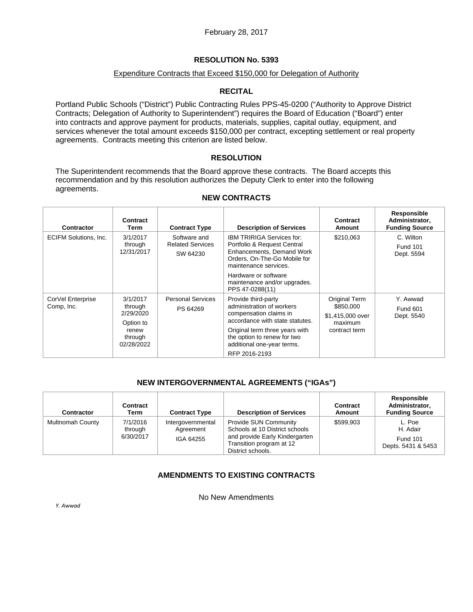## Expenditure Contracts that Exceed \$150,000 for Delegation of Authority

# **RECITAL**

Portland Public Schools ("District") Public Contracting Rules PPS-45-0200 ("Authority to Approve District Contracts; Delegation of Authority to Superintendent") requires the Board of Education ("Board") enter into contracts and approve payment for products, materials, supplies, capital outlay, equipment, and services whenever the total amount exceeds \$150,000 per contract, excepting settlement or real property agreements. Contracts meeting this criterion are listed below.

# **RESOLUTION**

The Superintendent recommends that the Board approve these contracts. The Board accepts this recommendation and by this resolution authorizes the Deputy Clerk to enter into the following agreements.

| <b>Contractor</b>               | Contract<br>Term                                       | <b>Contract Type</b>                                | <b>Description of Services</b>                                                                                                                        | Contract<br><b>Amount</b>                                                  | Responsible<br>Administrator,<br><b>Funding Source</b> |
|---------------------------------|--------------------------------------------------------|-----------------------------------------------------|-------------------------------------------------------------------------------------------------------------------------------------------------------|----------------------------------------------------------------------------|--------------------------------------------------------|
| <b>ECIFM Solutions, Inc.</b>    | 3/1/2017<br>through<br>12/31/2017                      | Software and<br><b>Related Services</b><br>SW 64230 | <b>IBM TRIRIGA Services for:</b><br>Portfolio & Request Central<br>Enhancements, Demand Work<br>Orders, On-The-Go Mobile for<br>maintenance services. | \$210,063                                                                  | C. Wilton<br><b>Fund 101</b><br>Dept. 5594             |
|                                 |                                                        |                                                     | Hardware or software<br>maintenance and/or upgrades.<br>PPS 47-0288(11)                                                                               |                                                                            |                                                        |
| CorVel Enterprise<br>Comp, Inc. | 3/1/2017<br>through<br>2/29/2020<br>Option to<br>renew | <b>Personal Services</b><br>PS 64269                | Provide third-party<br>administration of workers<br>compensation claims in<br>accordance with state statutes.<br>Original term three years with       | Original Term<br>\$850,000<br>\$1,415,000 over<br>maximum<br>contract term | Y. Awwad<br><b>Fund 601</b><br>Dept. 5540              |
|                                 | through<br>02/28/2022                                  |                                                     | the option to renew for two<br>additional one-year terms.<br>RFP 2016-2193                                                                            |                                                                            |                                                        |

## **NEW CONTRACTS**

# **NEW INTERGOVERNMENTAL AGREEMENTS ("IGAs")**

| <b>Contractor</b>       | Contract<br>Term                 | <b>Contract Type</b>                        | <b>Description of Services</b>                                                                                                                    | Contract<br>Amount | Responsible<br>Administrator,<br><b>Funding Source</b>      |
|-------------------------|----------------------------------|---------------------------------------------|---------------------------------------------------------------------------------------------------------------------------------------------------|--------------------|-------------------------------------------------------------|
| <b>Multnomah County</b> | 7/1/2016<br>through<br>6/30/2017 | Intergovernmental<br>Agreement<br>IGA 64255 | <b>Provide SUN Community</b><br>Schools at 10 District schools<br>and provide Early Kindergarten<br>Transition program at 12<br>District schools. | \$599.903          | L. Poe<br>H. Adair<br><b>Fund 101</b><br>Depts. 5431 & 5453 |

# **AMENDMENTS TO EXISTING CONTRACTS**

No New Amendments

*Y. Awwad*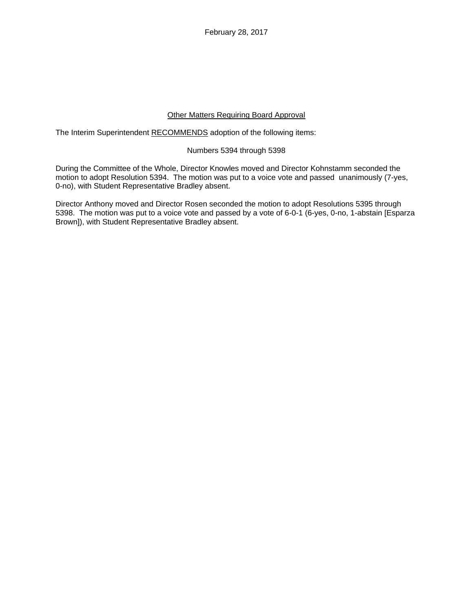February 28, 2017

## Other Matters Requiring Board Approval

The Interim Superintendent RECOMMENDS adoption of the following items:

## Numbers 5394 through 5398

During the Committee of the Whole, Director Knowles moved and Director Kohnstamm seconded the motion to adopt Resolution 5394. The motion was put to a voice vote and passed unanimously (7-yes, 0-no), with Student Representative Bradley absent.

Director Anthony moved and Director Rosen seconded the motion to adopt Resolutions 5395 through 5398. The motion was put to a voice vote and passed by a vote of 6-0-1 (6-yes, 0-no, 1-abstain [Esparza Brown]), with Student Representative Bradley absent.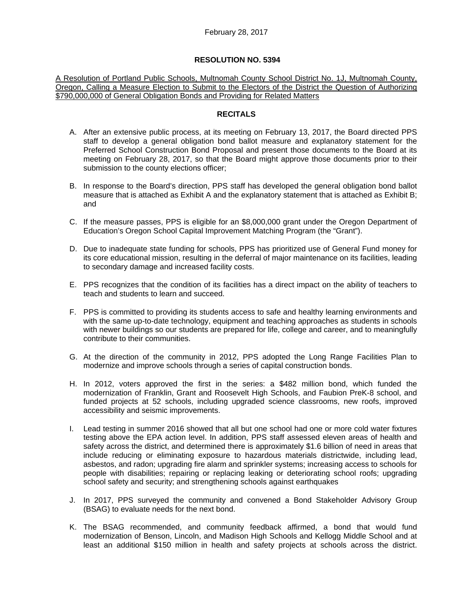A Resolution of Portland Public Schools, Multnomah County School District No. 1J, Multnomah County, Oregon, Calling a Measure Election to Submit to the Electors of the District the Question of Authorizing \$790,000,000 of General Obligation Bonds and Providing for Related Matters

## **RECITALS**

- A. After an extensive public process, at its meeting on February 13, 2017, the Board directed PPS staff to develop a general obligation bond ballot measure and explanatory statement for the Preferred School Construction Bond Proposal and present those documents to the Board at its meeting on February 28, 2017, so that the Board might approve those documents prior to their submission to the county elections officer;
- B. In response to the Board's direction, PPS staff has developed the general obligation bond ballot measure that is attached as Exhibit A and the explanatory statement that is attached as Exhibit B; and
- C. If the measure passes, PPS is eligible for an \$8,000,000 grant under the Oregon Department of Education's Oregon School Capital Improvement Matching Program (the "Grant").
- D. Due to inadequate state funding for schools, PPS has prioritized use of General Fund money for its core educational mission, resulting in the deferral of major maintenance on its facilities, leading to secondary damage and increased facility costs.
- E. PPS recognizes that the condition of its facilities has a direct impact on the ability of teachers to teach and students to learn and succeed.
- F. PPS is committed to providing its students access to safe and healthy learning environments and with the same up-to-date technology, equipment and teaching approaches as students in schools with newer buildings so our students are prepared for life, college and career, and to meaningfully contribute to their communities.
- G. At the direction of the community in 2012, PPS adopted the Long Range Facilities Plan to modernize and improve schools through a series of capital construction bonds.
- H. In 2012, voters approved the first in the series: a \$482 million bond, which funded the modernization of Franklin, Grant and Roosevelt High Schools, and Faubion PreK-8 school, and funded projects at 52 schools, including upgraded science classrooms, new roofs, improved accessibility and seismic improvements.
- I. Lead testing in summer 2016 showed that all but one school had one or more cold water fixtures testing above the EPA action level. In addition, PPS staff assessed eleven areas of health and safety across the district, and determined there is approximately \$1.6 billion of need in areas that include reducing or eliminating exposure to hazardous materials districtwide, including lead, asbestos, and radon; upgrading fire alarm and sprinkler systems; increasing access to schools for people with disabilities; repairing or replacing leaking or deteriorating school roofs; upgrading school safety and security; and strengthening schools against earthquakes
- J. In 2017, PPS surveyed the community and convened a Bond Stakeholder Advisory Group (BSAG) to evaluate needs for the next bond.
- K. The BSAG recommended, and community feedback affirmed, a bond that would fund modernization of Benson, Lincoln, and Madison High Schools and Kellogg Middle School and at least an additional \$150 million in health and safety projects at schools across the district.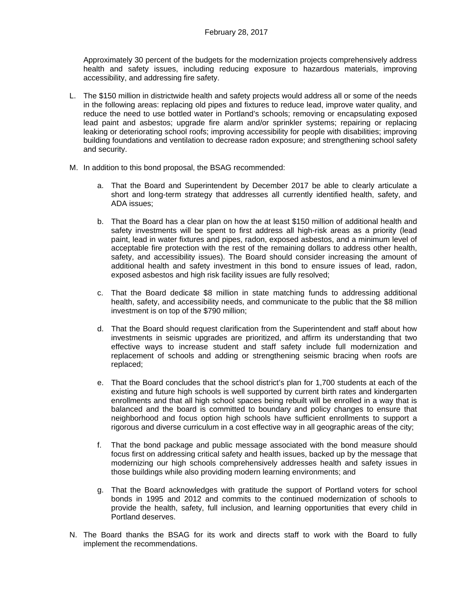Approximately 30 percent of the budgets for the modernization projects comprehensively address health and safety issues, including reducing exposure to hazardous materials, improving accessibility, and addressing fire safety.

- L. The \$150 million in districtwide health and safety projects would address all or some of the needs in the following areas: replacing old pipes and fixtures to reduce lead, improve water quality, and reduce the need to use bottled water in Portland's schools; removing or encapsulating exposed lead paint and asbestos; upgrade fire alarm and/or sprinkler systems; repairing or replacing leaking or deteriorating school roofs; improving accessibility for people with disabilities; improving building foundations and ventilation to decrease radon exposure; and strengthening school safety and security.
- M. In addition to this bond proposal, the BSAG recommended:
	- a. That the Board and Superintendent by December 2017 be able to clearly articulate a short and long-term strategy that addresses all currently identified health, safety, and ADA issues;
	- b. That the Board has a clear plan on how the at least \$150 million of additional health and safety investments will be spent to first address all high-risk areas as a priority (lead paint, lead in water fixtures and pipes, radon, exposed asbestos, and a minimum level of acceptable fire protection with the rest of the remaining dollars to address other health, safety, and accessibility issues). The Board should consider increasing the amount of additional health and safety investment in this bond to ensure issues of lead, radon, exposed asbestos and high risk facility issues are fully resolved;
	- c. That the Board dedicate \$8 million in state matching funds to addressing additional health, safety, and accessibility needs, and communicate to the public that the \$8 million investment is on top of the \$790 million;
	- d. That the Board should request clarification from the Superintendent and staff about how investments in seismic upgrades are prioritized, and affirm its understanding that two effective ways to increase student and staff safety include full modernization and replacement of schools and adding or strengthening seismic bracing when roofs are replaced;
	- e. That the Board concludes that the school district's plan for 1,700 students at each of the existing and future high schools is well supported by current birth rates and kindergarten enrollments and that all high school spaces being rebuilt will be enrolled in a way that is balanced and the board is committed to boundary and policy changes to ensure that neighborhood and focus option high schools have sufficient enrollments to support a rigorous and diverse curriculum in a cost effective way in all geographic areas of the city;
	- f. That the bond package and public message associated with the bond measure should focus first on addressing critical safety and health issues, backed up by the message that modernizing our high schools comprehensively addresses health and safety issues in those buildings while also providing modern learning environments; and
	- g. That the Board acknowledges with gratitude the support of Portland voters for school bonds in 1995 and 2012 and commits to the continued modernization of schools to provide the health, safety, full inclusion, and learning opportunities that every child in Portland deserves.
- N. The Board thanks the BSAG for its work and directs staff to work with the Board to fully implement the recommendations.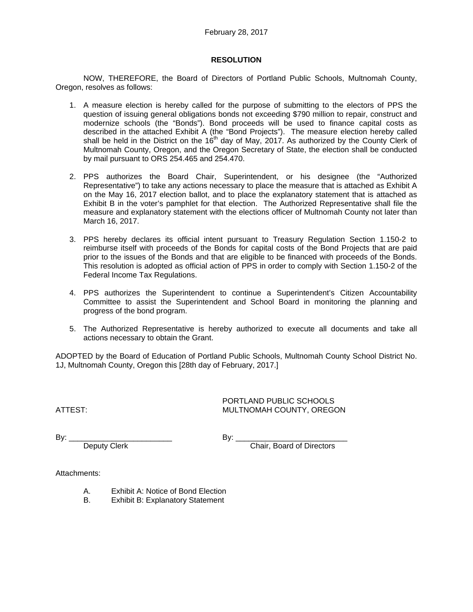## **RESOLUTION**

 NOW, THEREFORE, the Board of Directors of Portland Public Schools, Multnomah County, Oregon, resolves as follows:

- 1. A measure election is hereby called for the purpose of submitting to the electors of PPS the question of issuing general obligations bonds not exceeding \$790 million to repair, construct and modernize schools (the "Bonds"). Bond proceeds will be used to finance capital costs as described in the attached Exhibit A (the "Bond Projects"). The measure election hereby called shall be held in the District on the 16<sup>th</sup> day of May, 2017. As authorized by the County Clerk of Multnomah County, Oregon, and the Oregon Secretary of State, the election shall be conducted by mail pursuant to ORS 254.465 and 254.470.
- 2. PPS authorizes the Board Chair, Superintendent, or his designee (the "Authorized Representative") to take any actions necessary to place the measure that is attached as Exhibit A on the May 16, 2017 election ballot, and to place the explanatory statement that is attached as Exhibit B in the voter's pamphlet for that election. The Authorized Representative shall file the measure and explanatory statement with the elections officer of Multnomah County not later than March 16, 2017.
- 3. PPS hereby declares its official intent pursuant to Treasury Regulation Section 1.150-2 to reimburse itself with proceeds of the Bonds for capital costs of the Bond Projects that are paid prior to the issues of the Bonds and that are eligible to be financed with proceeds of the Bonds. This resolution is adopted as official action of PPS in order to comply with Section 1.150-2 of the Federal Income Tax Regulations.
- 4. PPS authorizes the Superintendent to continue a Superintendent's Citizen Accountability Committee to assist the Superintendent and School Board in monitoring the planning and progress of the bond program.
- 5. The Authorized Representative is hereby authorized to execute all documents and take all actions necessary to obtain the Grant.

ADOPTED by the Board of Education of Portland Public Schools, Multnomah County School District No. 1J, Multnomah County, Oregon this [28th day of February, 2017.]

 PORTLAND PUBLIC SCHOOLS ATTEST: MULTNOMAH COUNTY, OREGON

By: \_\_\_\_\_\_\_\_\_\_\_\_\_\_\_\_\_\_\_\_\_\_\_\_ By: \_\_\_\_\_\_\_\_\_\_\_\_\_\_\_\_\_\_\_\_\_\_\_\_\_\_

Deputy Clerk Chair, Board of Directors

Attachments:

- A. Exhibit A: Notice of Bond Election
- B. Exhibit B: Explanatory Statement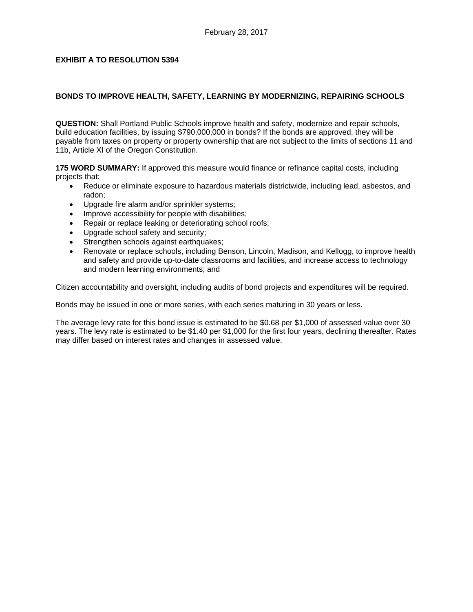# **EXHIBIT A TO RESOLUTION 5394**

# **BONDS TO IMPROVE HEALTH, SAFETY, LEARNING BY MODERNIZING, REPAIRING SCHOOLS**

**QUESTION:** Shall Portland Public Schools improve health and safety, modernize and repair schools, build education facilities, by issuing \$790,000,000 in bonds? If the bonds are approved, they will be payable from taxes on property or property ownership that are not subject to the limits of sections 11 and 11b, Article XI of the Oregon Constitution.

**175 WORD SUMMARY:** If approved this measure would finance or refinance capital costs, including projects that:

- Reduce or eliminate exposure to hazardous materials districtwide, including lead, asbestos, and radon;
- Upgrade fire alarm and/or sprinkler systems;
- Improve accessibility for people with disabilities;
- Repair or replace leaking or deteriorating school roofs;
- Upgrade school safety and security;
- Strengthen schools against earthquakes;
- Renovate or replace schools, including Benson, Lincoln, Madison, and Kellogg, to improve health and safety and provide up-to-date classrooms and facilities, and increase access to technology and modern learning environments; and

Citizen accountability and oversight, including audits of bond projects and expenditures will be required.

Bonds may be issued in one or more series, with each series maturing in 30 years or less.

The average levy rate for this bond issue is estimated to be \$0.68 per \$1,000 of assessed value over 30 years. The levy rate is estimated to be \$1.40 per \$1,000 for the first four years, declining thereafter. Rates may differ based on interest rates and changes in assessed value.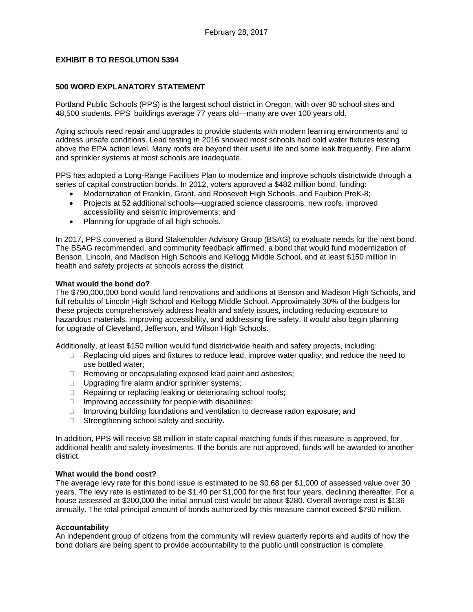# **EXHIBIT B TO RESOLUTION 5394**

## **500 WORD EXPLANATORY STATEMENT**

Portland Public Schools (PPS) is the largest school district in Oregon, with over 90 school sites and 48,500 students. PPS' buildings average 77 years old—many are over 100 years old.

Aging schools need repair and upgrades to provide students with modern learning environments and to address unsafe conditions. Lead testing in 2016 showed most schools had cold water fixtures testing above the EPA action level. Many roofs are beyond their useful life and some leak frequently. Fire alarm and sprinkler systems at most schools are inadequate.

PPS has adopted a Long-Range Facilities Plan to modernize and improve schools districtwide through a series of capital construction bonds. In 2012, voters approved a \$482 million bond, funding:

- Modernization of Franklin, Grant, and Roosevelt High Schools, and Faubion PreK-8;
- Projects at 52 additional schools—upgraded science classrooms, new roofs, improved accessibility and seismic improvements; and
- Planning for upgrade of all high schools.

In 2017, PPS convened a Bond Stakeholder Advisory Group (BSAG) to evaluate needs for the next bond. The BSAG recommended, and community feedback affirmed, a bond that would fund modernization of Benson, Lincoln, and Madison High Schools and Kellogg Middle School, and at least \$150 million in health and safety projects at schools across the district.

#### **What would the bond do?**

The \$790,000,000 bond would fund renovations and additions at Benson and Madison High Schools, and full rebuilds of Lincoln High School and Kellogg Middle School. Approximately 30% of the budgets for these projects comprehensively address health and safety issues, including reducing exposure to hazardous materials, improving accessibility, and addressing fire safety. It would also begin planning for upgrade of Cleveland, Jefferson, and Wilson High Schools.

Additionally, at least \$150 million would fund district-wide health and safety projects, including:

- $\Box$  Replacing old pipes and fixtures to reduce lead, improve water quality, and reduce the need to use bottled water;
- $\Box$  Removing or encapsulating exposed lead paint and asbestos;
- $\Box$  Upgrading fire alarm and/or sprinkler systems;
- $\Box$  Repairing or replacing leaking or deteriorating school roofs;
- $\Box$  Improving accessibility for people with disabilities;
- $\Box$  Improving building foundations and ventilation to decrease radon exposure; and
- $\Box$  Strengthening school safety and security.

In addition, PPS will receive \$8 million in state capital matching funds if this measure is approved, for additional health and safety investments. If the bonds are not approved, funds will be awarded to another district.

### **What would the bond cost?**

The average levy rate for this bond issue is estimated to be \$0.68 per \$1,000 of assessed value over 30 years. The levy rate is estimated to be \$1.40 per \$1,000 for the first four years, declining thereafter. For a house assessed at \$200,000 the initial annual cost would be about \$280. Overall average cost is \$136 annually. The total principal amount of bonds authorized by this measure cannot exceed \$790 million.

### **Accountability**

An independent group of citizens from the community will review quarterly reports and audits of how the bond dollars are being spent to provide accountability to the public until construction is complete.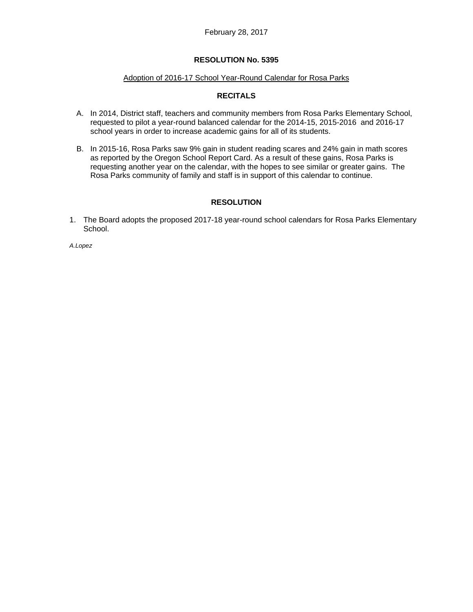#### Adoption of 2016-17 School Year-Round Calendar for Rosa Parks

# **RECITALS**

- A. In 2014, District staff, teachers and community members from Rosa Parks Elementary School, requested to pilot a year-round balanced calendar for the 2014-15, 2015-2016 and 2016-17 school years in order to increase academic gains for all of its students.
- B. In 2015-16, Rosa Parks saw 9% gain in student reading scares and 24% gain in math scores as reported by the Oregon School Report Card. As a result of these gains, Rosa Parks is requesting another year on the calendar, with the hopes to see similar or greater gains. The Rosa Parks community of family and staff is in support of this calendar to continue.

## **RESOLUTION**

1. The Board adopts the proposed 2017-18 year-round school calendars for Rosa Parks Elementary School.

*A.Lopez*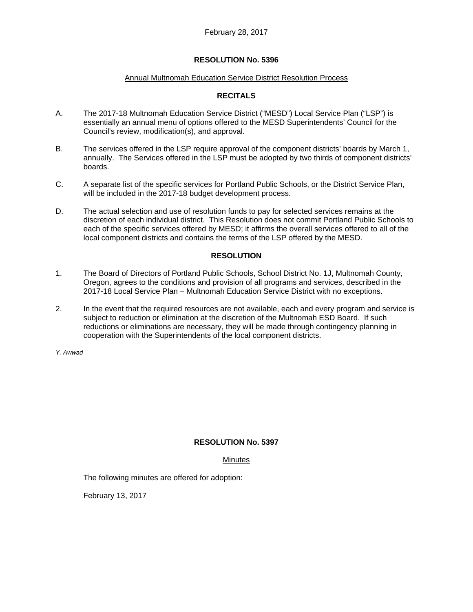#### Annual Multnomah Education Service District Resolution Process

# **RECITALS**

- A. The 2017-18 Multnomah Education Service District ("MESD") Local Service Plan ("LSP") is essentially an annual menu of options offered to the MESD Superintendents' Council for the Council's review, modification(s), and approval.
- B. The services offered in the LSP require approval of the component districts' boards by March 1, annually. The Services offered in the LSP must be adopted by two thirds of component districts' boards.
- C. A separate list of the specific services for Portland Public Schools, or the District Service Plan, will be included in the 2017-18 budget development process.
- D. The actual selection and use of resolution funds to pay for selected services remains at the discretion of each individual district. This Resolution does not commit Portland Public Schools to each of the specific services offered by MESD; it affirms the overall services offered to all of the local component districts and contains the terms of the LSP offered by the MESD.

# **RESOLUTION**

- 1. The Board of Directors of Portland Public Schools, School District No. 1J, Multnomah County, Oregon, agrees to the conditions and provision of all programs and services, described in the 2017-18 Local Service Plan – Multnomah Education Service District with no exceptions.
- 2. In the event that the required resources are not available, each and every program and service is subject to reduction or elimination at the discretion of the Multnomah ESD Board. If such reductions or eliminations are necessary, they will be made through contingency planning in cooperation with the Superintendents of the local component districts.

*Y. Awwad* 

# **RESOLUTION No. 5397**

### Minutes

The following minutes are offered for adoption:

February 13, 2017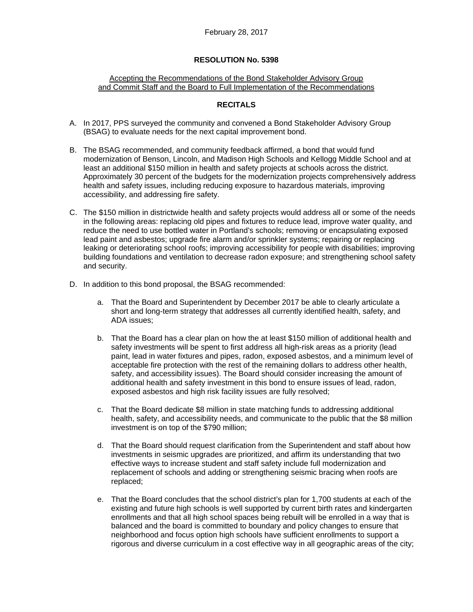### Accepting the Recommendations of the Bond Stakeholder Advisory Group and Commit Staff and the Board to Full Implementation of the Recommendations

## **RECITALS**

- A. In 2017, PPS surveyed the community and convened a Bond Stakeholder Advisory Group (BSAG) to evaluate needs for the next capital improvement bond.
- B. The BSAG recommended, and community feedback affirmed, a bond that would fund modernization of Benson, Lincoln, and Madison High Schools and Kellogg Middle School and at least an additional \$150 million in health and safety projects at schools across the district. Approximately 30 percent of the budgets for the modernization projects comprehensively address health and safety issues, including reducing exposure to hazardous materials, improving accessibility, and addressing fire safety.
- C. The \$150 million in districtwide health and safety projects would address all or some of the needs in the following areas: replacing old pipes and fixtures to reduce lead, improve water quality, and reduce the need to use bottled water in Portland's schools; removing or encapsulating exposed lead paint and asbestos; upgrade fire alarm and/or sprinkler systems; repairing or replacing leaking or deteriorating school roofs; improving accessibility for people with disabilities; improving building foundations and ventilation to decrease radon exposure; and strengthening school safety and security.
- D. In addition to this bond proposal, the BSAG recommended:
	- a. That the Board and Superintendent by December 2017 be able to clearly articulate a short and long-term strategy that addresses all currently identified health, safety, and ADA issues;
	- b. That the Board has a clear plan on how the at least \$150 million of additional health and safety investments will be spent to first address all high-risk areas as a priority (lead paint, lead in water fixtures and pipes, radon, exposed asbestos, and a minimum level of acceptable fire protection with the rest of the remaining dollars to address other health, safety, and accessibility issues). The Board should consider increasing the amount of additional health and safety investment in this bond to ensure issues of lead, radon, exposed asbestos and high risk facility issues are fully resolved;
	- c. That the Board dedicate \$8 million in state matching funds to addressing additional health, safety, and accessibility needs, and communicate to the public that the \$8 million investment is on top of the \$790 million;
	- d. That the Board should request clarification from the Superintendent and staff about how investments in seismic upgrades are prioritized, and affirm its understanding that two effective ways to increase student and staff safety include full modernization and replacement of schools and adding or strengthening seismic bracing when roofs are replaced;
	- e. That the Board concludes that the school district's plan for 1,700 students at each of the existing and future high schools is well supported by current birth rates and kindergarten enrollments and that all high school spaces being rebuilt will be enrolled in a way that is balanced and the board is committed to boundary and policy changes to ensure that neighborhood and focus option high schools have sufficient enrollments to support a rigorous and diverse curriculum in a cost effective way in all geographic areas of the city;